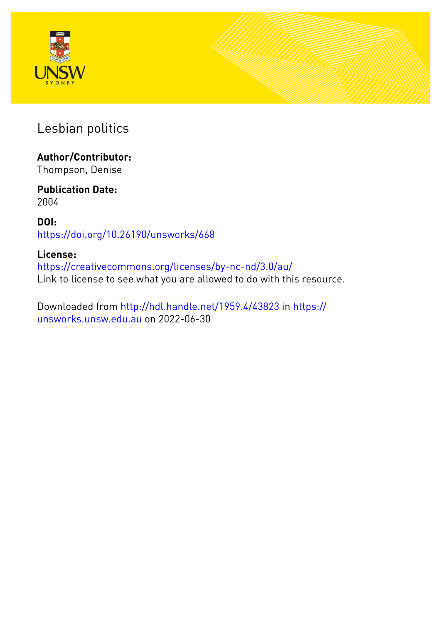



Lesbian politics

# **Author/Contributor:**

Thompson, Denise

#### **Publication Date:** 2004

**DOI:** [https://doi.org/10.26190/unsworks/668](http://dx.doi.org/https://doi.org/10.26190/unsworks/668)

### **License:**

<https://creativecommons.org/licenses/by-nc-nd/3.0/au/> Link to license to see what you are allowed to do with this resource.

Downloaded from <http://hdl.handle.net/1959.4/43823> in [https://](https://unsworks.unsw.edu.au) [unsworks.unsw.edu.au](https://unsworks.unsw.edu.au) on 2022-06-30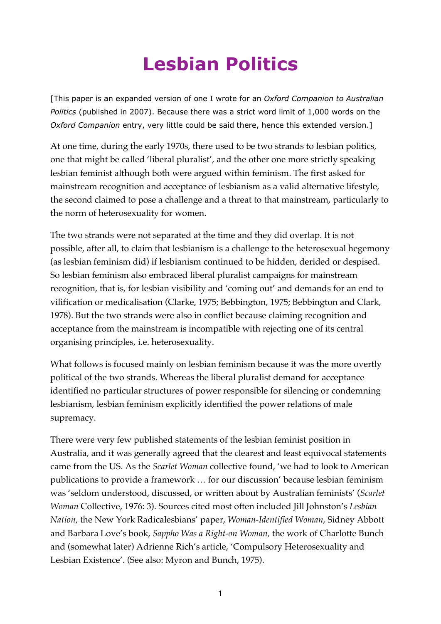# **Lesbian Politics**

[This paper is an expanded version of one I wrote for an *Oxford Companion to Australian Politics* (published in 2007). Because there was a strict word limit of 1,000 words on the *Oxford Companion* entry, very little could be said there, hence this extended version.]

At one time, during the early 1970s, there used to be two strands to lesbian politics, one that might be called 'liberal pluralist', and the other one more strictly speaking lesbian feminist although both were argued within feminism. The first asked for mainstream recognition and acceptance of lesbianism as a valid alternative lifestyle, the second claimed to pose a challenge and a threat to that mainstream, particularly to the norm of heterosexuality for women.

The two strands were not separated at the time and they did overlap. It is not possible, after all, to claim that lesbianism is a challenge to the heterosexual hegemony (as lesbian feminism did) if lesbianism continued to be hidden, derided or despised. So lesbian feminism also embraced liberal pluralist campaigns for mainstream recognition, that is, for lesbian visibility and 'coming out' and demands for an end to vilification or medicalisation (Clarke, 1975; Bebbington, 1975; Bebbington and Clark, 1978). But the two strands were also in conflict because claiming recognition and acceptance from the mainstream is incompatible with rejecting one of its central organising principles, i.e. heterosexuality.

What follows is focused mainly on lesbian feminism because it was the more overtly political of the two strands. Whereas the liberal pluralist demand for acceptance identified no particular structures of power responsible for silencing or condemning lesbianism, lesbian feminism explicitly identified the power relations of male supremacy.

There were very few published statements of the lesbian feminist position in Australia, and it was generally agreed that the clearest and least equivocal statements came from the US. As the *Scarlet Woman* collective found, 'we had to look to American publications to provide a framework … for our discussion' because lesbian feminism was 'seldom understood, discussed, or written about by Australian feminists' (*Scarlet Woman* Collective, 1976: 3). Sources cited most often included Jill Johnston's *Lesbian Nation*, the New York Radicalesbians' paper, *Woman-Identified Woman*, Sidney Abbott and Barbara Love's book, *Sappho Was a Right-on Woman,* the work of Charlotte Bunch and (somewhat later) Adrienne Rich's article, 'Compulsory Heterosexuality and Lesbian Existence'. (See also: Myron and Bunch, 1975).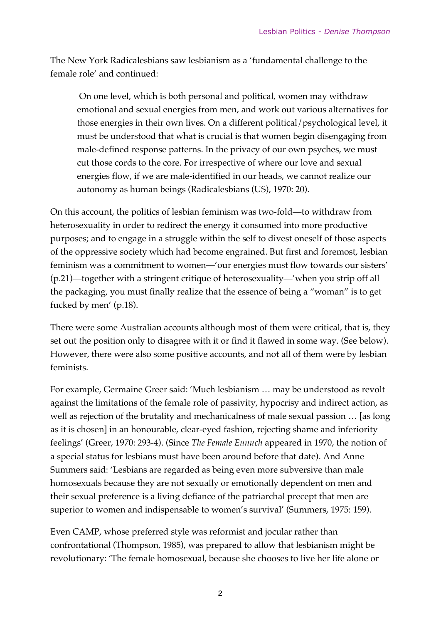The New York Radicalesbians saw lesbianism as a 'fundamental challenge to the female role' and continued:

 On one level, which is both personal and political, women may withdraw emotional and sexual energies from men, and work out various alternatives for those energies in their own lives. On a different political/psychological level, it must be understood that what is crucial is that women begin disengaging from male-defined response patterns. In the privacy of our own psyches, we must cut those cords to the core. For irrespective of where our love and sexual energies flow, if we are male-identified in our heads, we cannot realize our autonomy as human beings (Radicalesbians (US), 1970: 20).

On this account, the politics of lesbian feminism was two-fold—to withdraw from heterosexuality in order to redirect the energy it consumed into more productive purposes; and to engage in a struggle within the self to divest oneself of those aspects of the oppressive society which had become engrained. But first and foremost, lesbian feminism was a commitment to women—'our energies must flow towards our sisters' (p.21)—together with a stringent critique of heterosexuality—'when you strip off all the packaging, you must finally realize that the essence of being a "woman" is to get fucked by men' (p.18).

There were some Australian accounts although most of them were critical, that is, they set out the position only to disagree with it or find it flawed in some way. (See below). However, there were also some positive accounts, and not all of them were by lesbian feminists.

For example, Germaine Greer said: 'Much lesbianism … may be understood as revolt against the limitations of the female role of passivity, hypocrisy and indirect action, as well as rejection of the brutality and mechanicalness of male sexual passion … [as long as it is chosen] in an honourable, clear-eyed fashion, rejecting shame and inferiority feelings' (Greer, 1970: 293-4). (Since *The Female Eunuch* appeared in 1970, the notion of a special status for lesbians must have been around before that date). And Anne Summers said: 'Lesbians are regarded as being even more subversive than male homosexuals because they are not sexually or emotionally dependent on men and their sexual preference is a living defiance of the patriarchal precept that men are superior to women and indispensable to women's survival' (Summers, 1975: 159).

Even CAMP, whose preferred style was reformist and jocular rather than confrontational (Thompson, 1985), was prepared to allow that lesbianism might be revolutionary: 'The female homosexual, because she chooses to live her life alone or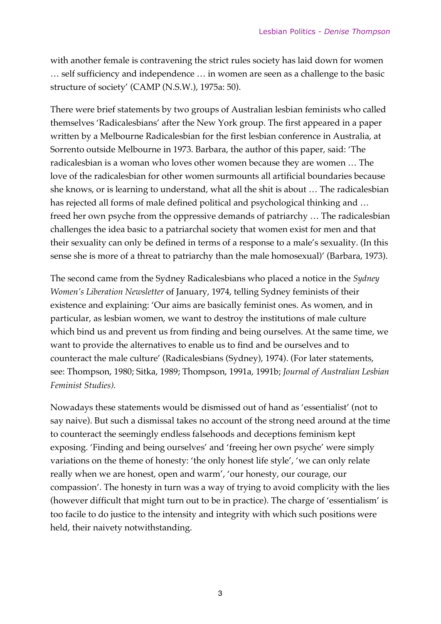with another female is contravening the strict rules society has laid down for women … self sufficiency and independence … in women are seen as a challenge to the basic structure of society' (CAMP (N.S.W.), 1975a: 50).

There were brief statements by two groups of Australian lesbian feminists who called themselves 'Radicalesbians' after the New York group. The first appeared in a paper written by a Melbourne Radicalesbian for the first lesbian conference in Australia, at Sorrento outside Melbourne in 1973. Barbara, the author of this paper, said: 'The radicalesbian is a woman who loves other women because they are women … The love of the radicalesbian for other women surmounts all artificial boundaries because she knows, or is learning to understand, what all the shit is about … The radicalesbian has rejected all forms of male defined political and psychological thinking and … freed her own psyche from the oppressive demands of patriarchy … The radicalesbian challenges the idea basic to a patriarchal society that women exist for men and that their sexuality can only be defined in terms of a response to a male's sexuality. (In this sense she is more of a threat to patriarchy than the male homosexual)' (Barbara, 1973).

The second came from the Sydney Radicalesbians who placed a notice in the *Sydney Women's Liberation Newsletter* of January, 1974, telling Sydney feminists of their existence and explaining: 'Our aims are basically feminist ones. As women, and in particular, as lesbian women, we want to destroy the institutions of male culture which bind us and prevent us from finding and being ourselves. At the same time, we want to provide the alternatives to enable us to find and be ourselves and to counteract the male culture' (Radicalesbians (Sydney), 1974). (For later statements, see: Thompson, 1980; Sitka, 1989; Thompson, 1991a, 1991b; *Journal of Australian Lesbian Feminist Studies).*

Nowadays these statements would be dismissed out of hand as 'essentialist' (not to say naive). But such a dismissal takes no account of the strong need around at the time to counteract the seemingly endless falsehoods and deceptions feminism kept exposing. 'Finding and being ourselves' and 'freeing her own psyche' were simply variations on the theme of honesty: 'the only honest life style', 'we can only relate really when we are honest, open and warm', 'our honesty, our courage, our compassion'. The honesty in turn was a way of trying to avoid complicity with the lies (however difficult that might turn out to be in practice). The charge of 'essentialism' is too facile to do justice to the intensity and integrity with which such positions were held, their naivety notwithstanding.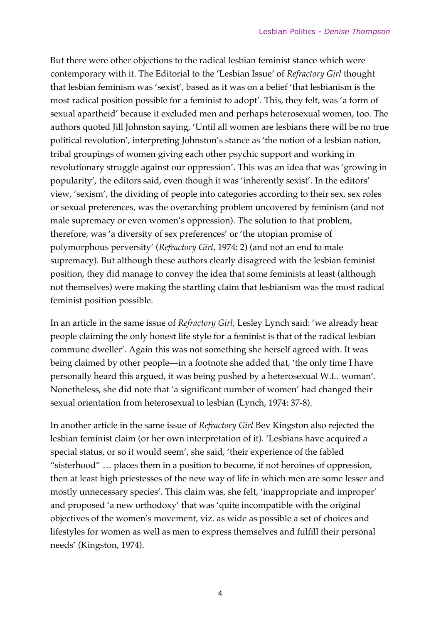But there were other objections to the radical lesbian feminist stance which were contemporary with it. The Editorial to the 'Lesbian Issue' of *Refractory Girl* thought that lesbian feminism was 'sexist', based as it was on a belief 'that lesbianism is the most radical position possible for a feminist to adopt'. This, they felt, was 'a form of sexual apartheid' because it excluded men and perhaps heterosexual women, too. The authors quoted Jill Johnston saying, 'Until all women are lesbians there will be no true political revolution', interpreting Johnston's stance as 'the notion of a lesbian nation, tribal groupings of women giving each other psychic support and working in revolutionary struggle against our oppression'. This was an idea that was 'growing in popularity', the editors said, even though it was 'inherently sexist'. In the editors' view, 'sexism', the dividing of people into categories according to their sex, sex roles or sexual preferences, was the overarching problem uncovered by feminism (and not male supremacy or even women's oppression). The solution to that problem, therefore, was 'a diversity of sex preferences' or 'the utopian promise of polymorphous perversity' (*Refractory Girl*, 1974: 2) (and not an end to male supremacy). But although these authors clearly disagreed with the lesbian feminist position, they did manage to convey the idea that some feminists at least (although not themselves) were making the startling claim that lesbianism was the most radical feminist position possible.

In an article in the same issue of *Refractory Girl*, Lesley Lynch said: 'we already hear people claiming the only honest life style for a feminist is that of the radical lesbian commune dweller'. Again this was not something she herself agreed with. It was being claimed by other people—in a footnote she added that, 'the only time I have personally heard this argued, it was being pushed by a heterosexual W.L. woman'. Nonetheless, she did note that 'a significant number of women' had changed their sexual orientation from heterosexual to lesbian (Lynch, 1974: 37-8).

In another article in the same issue of *Refractory Girl* Bev Kingston also rejected the lesbian feminist claim (or her own interpretation of it). 'Lesbians have acquired a special status, or so it would seem', she said, 'their experience of the fabled "sisterhood" … places them in a position to become, if not heroines of oppression, then at least high priestesses of the new way of life in which men are some lesser and mostly unnecessary species'. This claim was, she felt, 'inappropriate and improper' and proposed 'a new orthodoxy' that was 'quite incompatible with the original objectives of the women's movement, viz. as wide as possible a set of choices and lifestyles for women as well as men to express themselves and fulfill their personal needs' (Kingston, 1974).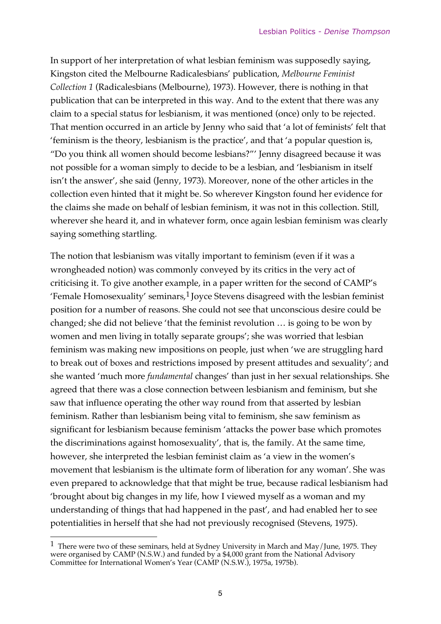In support of her interpretation of what lesbian feminism was supposedly saying, Kingston cited the Melbourne Radicalesbians' publication, *Melbourne Feminist Collection 1* (Radicalesbians (Melbourne), 1973). However, there is nothing in that publication that can be interpreted in this way. And to the extent that there was any claim to a special status for lesbianism, it was mentioned (once) only to be rejected. That mention occurred in an article by Jenny who said that 'a lot of feminists' felt that 'feminism is the theory, lesbianism is the practice', and that 'a popular question is, "Do you think all women should become lesbians?"' Jenny disagreed because it was not possible for a woman simply to decide to be a lesbian, and 'lesbianism in itself isn't the answer', she said (Jenny, 1973). Moreover, none of the other articles in the collection even hinted that it might be. So wherever Kingston found her evidence for the claims she made on behalf of lesbian feminism, it was not in this collection. Still, wherever she heard it, and in whatever form, once again lesbian feminism was clearly saying something startling.

The notion that lesbianism was vitally important to feminism (even if it was a wrongheaded notion) was commonly conveyed by its critics in the very act of criticising it. To give another example, in a paper written for the second of CAMP's 'Female Homosexuality' seminars,1 Joyce Stevens disagreed with the lesbian feminist position for a number of reasons. She could not see that unconscious desire could be changed; she did not believe 'that the feminist revolution … is going to be won by women and men living in totally separate groups'; she was worried that lesbian feminism was making new impositions on people, just when 'we are struggling hard to break out of boxes and restrictions imposed by present attitudes and sexuality'; and she wanted 'much more *fundamental* changes' than just in her sexual relationships. She agreed that there was a close connection between lesbianism and feminism, but she saw that influence operating the other way round from that asserted by lesbian feminism. Rather than lesbianism being vital to feminism, she saw feminism as significant for lesbianism because feminism 'attacks the power base which promotes the discriminations against homosexuality', that is, the family. At the same time, however, she interpreted the lesbian feminist claim as 'a view in the women's movement that lesbianism is the ultimate form of liberation for any woman'. She was even prepared to acknowledge that that might be true, because radical lesbianism had 'brought about big changes in my life, how I viewed myself as a woman and my understanding of things that had happened in the past', and had enabled her to see potentialities in herself that she had not previously recognised (Stevens, 1975).

 $\overline{\phantom{a}}$ 

<sup>&</sup>lt;sup>1</sup> There were two of these seminars, held at Sydney University in March and May/June, 1975. They were organised by CAMP (N.S.W.) and funded by a \$4,000 grant from the National Advisory Committee for International Women's Year (CAMP (N.S.W.), 1975a, 1975b).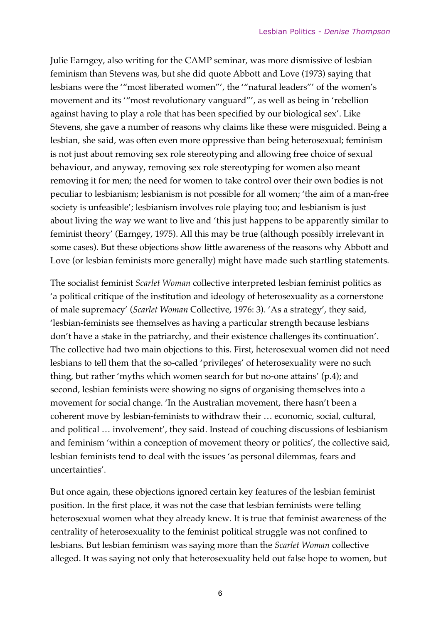Julie Earngey, also writing for the CAMP seminar, was more dismissive of lesbian feminism than Stevens was, but she did quote Abbott and Love (1973) saying that lesbians were the '"most liberated women"', the '"natural leaders"' of the women's movement and its '"most revolutionary vanguard"', as well as being in 'rebellion against having to play a role that has been specified by our biological sex'. Like Stevens, she gave a number of reasons why claims like these were misguided. Being a lesbian, she said, was often even more oppressive than being heterosexual; feminism is not just about removing sex role stereotyping and allowing free choice of sexual behaviour, and anyway, removing sex role stereotyping for women also meant removing it for men; the need for women to take control over their own bodies is not peculiar to lesbianism; lesbianism is not possible for all women; 'the aim of a man-free society is unfeasible'; lesbianism involves role playing too; and lesbianism is just about living the way we want to live and 'this just happens to be apparently similar to feminist theory' (Earngey, 1975). All this may be true (although possibly irrelevant in some cases). But these objections show little awareness of the reasons why Abbott and Love (or lesbian feminists more generally) might have made such startling statements.

The socialist feminist *Scarlet Woman* collective interpreted lesbian feminist politics as 'a political critique of the institution and ideology of heterosexuality as a cornerstone of male supremacy' (*Scarlet Woman* Collective, 1976: 3). 'As a strategy', they said, 'lesbian-feminists see themselves as having a particular strength because lesbians don't have a stake in the patriarchy, and their existence challenges its continuation'. The collective had two main objections to this. First, heterosexual women did not need lesbians to tell them that the so-called 'privileges' of heterosexuality were no such thing, but rather 'myths which women search for but no-one attains' (p.4); and second, lesbian feminists were showing no signs of organising themselves into a movement for social change. 'In the Australian movement, there hasn't been a coherent move by lesbian-feminists to withdraw their … economic, social, cultural, and political … involvement', they said. Instead of couching discussions of lesbianism and feminism 'within a conception of movement theory or politics', the collective said, lesbian feminists tend to deal with the issues 'as personal dilemmas, fears and uncertainties'.

But once again, these objections ignored certain key features of the lesbian feminist position. In the first place, it was not the case that lesbian feminists were telling heterosexual women what they already knew. It is true that feminist awareness of the centrality of heterosexuality to the feminist political struggle was not confined to lesbians. But lesbian feminism was saying more than the *Scarlet Woman* collective alleged. It was saying not only that heterosexuality held out false hope to women, but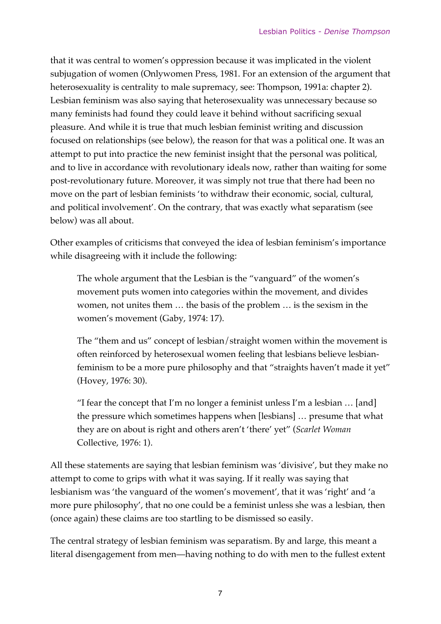that it was central to women's oppression because it was implicated in the violent subjugation of women (Onlywomen Press, 1981. For an extension of the argument that heterosexuality is centrality to male supremacy, see: Thompson, 1991a: chapter 2). Lesbian feminism was also saying that heterosexuality was unnecessary because so many feminists had found they could leave it behind without sacrificing sexual pleasure. And while it is true that much lesbian feminist writing and discussion focused on relationships (see below), the reason for that was a political one. It was an attempt to put into practice the new feminist insight that the personal was political, and to live in accordance with revolutionary ideals now, rather than waiting for some post-revolutionary future. Moreover, it was simply not true that there had been no move on the part of lesbian feminists 'to withdraw their economic, social, cultural, and political involvement'. On the contrary, that was exactly what separatism (see below) was all about.

Other examples of criticisms that conveyed the idea of lesbian feminism's importance while disagreeing with it include the following:

The whole argument that the Lesbian is the "vanguard" of the women's movement puts women into categories within the movement, and divides women, not unites them … the basis of the problem … is the sexism in the women's movement (Gaby, 1974: 17).

The "them and us" concept of lesbian/straight women within the movement is often reinforced by heterosexual women feeling that lesbians believe lesbianfeminism to be a more pure philosophy and that "straights haven't made it yet" (Hovey, 1976: 30).

"I fear the concept that I'm no longer a feminist unless I'm a lesbian  $\ldots$  [and] the pressure which sometimes happens when [lesbians] … presume that what they are on about is right and others aren't 'there' yet" (*Scarlet Woman* Collective, 1976: 1).

All these statements are saying that lesbian feminism was 'divisive', but they make no attempt to come to grips with what it was saying. If it really was saying that lesbianism was 'the vanguard of the women's movement', that it was 'right' and 'a more pure philosophy', that no one could be a feminist unless she was a lesbian, then (once again) these claims are too startling to be dismissed so easily.

The central strategy of lesbian feminism was separatism. By and large, this meant a literal disengagement from men—having nothing to do with men to the fullest extent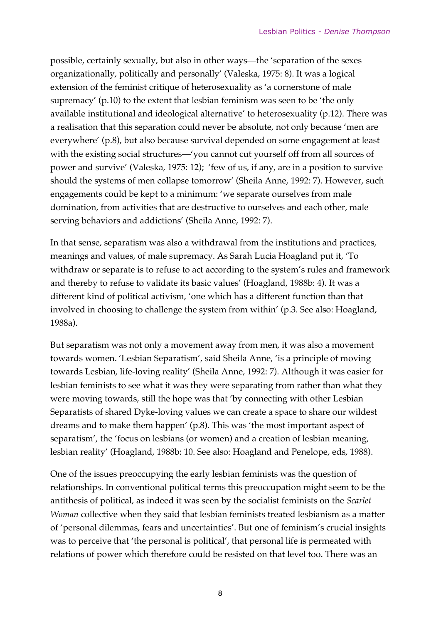possible, certainly sexually, but also in other ways—the 'separation of the sexes organizationally, politically and personally' (Valeska, 1975: 8). It was a logical extension of the feminist critique of heterosexuality as 'a cornerstone of male supremacy' (p.10) to the extent that lesbian feminism was seen to be 'the only available institutional and ideological alternative' to heterosexuality (p.12). There was a realisation that this separation could never be absolute, not only because 'men are everywhere' (p.8), but also because survival depended on some engagement at least with the existing social structures—'you cannot cut yourself off from all sources of power and survive' (Valeska, 1975: 12); 'few of us, if any, are in a position to survive should the systems of men collapse tomorrow' (Sheila Anne, 1992: 7). However, such engagements could be kept to a minimum: 'we separate ourselves from male domination, from activities that are destructive to ourselves and each other, male serving behaviors and addictions' (Sheila Anne, 1992: 7).

In that sense, separatism was also a withdrawal from the institutions and practices, meanings and values, of male supremacy. As Sarah Lucia Hoagland put it, 'To withdraw or separate is to refuse to act according to the system's rules and framework and thereby to refuse to validate its basic values' (Hoagland, 1988b: 4). It was a different kind of political activism, 'one which has a different function than that involved in choosing to challenge the system from within' (p.3. See also: Hoagland, 1988a).

But separatism was not only a movement away from men, it was also a movement towards women. 'Lesbian Separatism', said Sheila Anne, 'is a principle of moving towards Lesbian, life-loving reality' (Sheila Anne, 1992: 7). Although it was easier for lesbian feminists to see what it was they were separating from rather than what they were moving towards, still the hope was that 'by connecting with other Lesbian Separatists of shared Dyke-loving values we can create a space to share our wildest dreams and to make them happen' (p.8). This was 'the most important aspect of separatism', the 'focus on lesbians (or women) and a creation of lesbian meaning, lesbian reality' (Hoagland, 1988b: 10. See also: Hoagland and Penelope, eds, 1988).

One of the issues preoccupying the early lesbian feminists was the question of relationships. In conventional political terms this preoccupation might seem to be the antithesis of political, as indeed it was seen by the socialist feminists on the *Scarlet Woman* collective when they said that lesbian feminists treated lesbianism as a matter of 'personal dilemmas, fears and uncertainties'. But one of feminism's crucial insights was to perceive that 'the personal is political', that personal life is permeated with relations of power which therefore could be resisted on that level too. There was an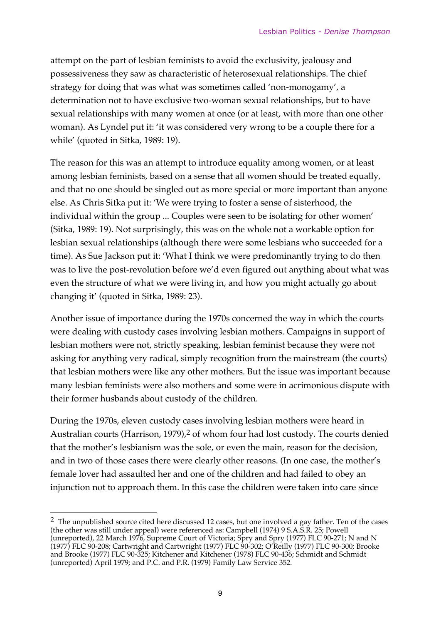attempt on the part of lesbian feminists to avoid the exclusivity, jealousy and possessiveness they saw as characteristic of heterosexual relationships. The chief strategy for doing that was what was sometimes called 'non-monogamy', a determination not to have exclusive two-woman sexual relationships, but to have sexual relationships with many women at once (or at least, with more than one other woman). As Lyndel put it: 'it was considered very wrong to be a couple there for a while' (quoted in Sitka, 1989: 19).

The reason for this was an attempt to introduce equality among women, or at least among lesbian feminists, based on a sense that all women should be treated equally, and that no one should be singled out as more special or more important than anyone else. As Chris Sitka put it: 'We were trying to foster a sense of sisterhood, the individual within the group ... Couples were seen to be isolating for other women' (Sitka, 1989: 19). Not surprisingly, this was on the whole not a workable option for lesbian sexual relationships (although there were some lesbians who succeeded for a time). As Sue Jackson put it: 'What I think we were predominantly trying to do then was to live the post-revolution before we'd even figured out anything about what was even the structure of what we were living in, and how you might actually go about changing it' (quoted in Sitka, 1989: 23).

Another issue of importance during the 1970s concerned the way in which the courts were dealing with custody cases involving lesbian mothers. Campaigns in support of lesbian mothers were not, strictly speaking, lesbian feminist because they were not asking for anything very radical, simply recognition from the mainstream (the courts) that lesbian mothers were like any other mothers. But the issue was important because many lesbian feminists were also mothers and some were in acrimonious dispute with their former husbands about custody of the children.

During the 1970s, eleven custody cases involving lesbian mothers were heard in Australian courts (Harrison, 1979),<sup>2</sup> of whom four had lost custody. The courts denied that the mother's lesbianism was the sole, or even the main, reason for the decision, and in two of those cases there were clearly other reasons. (In one case, the mother's female lover had assaulted her and one of the children and had failed to obey an injunction not to approach them. In this case the children were taken into care since

 $\overline{\phantom{a}}$ 

<sup>&</sup>lt;sup>2</sup> The unpublished source cited here discussed 12 cases, but one involved a gay father. Ten of the cases (the other was still under appeal) were referenced as: Campbell (1974) 9 S.A.S.R. 25; Powell (unreported), 22 March 1976, Supreme Court of Victoria; Spry and Spry (1977) FLC 90-271; N and N (1977) FLC 90-208; Cartwright and Cartwright (1977) FLC 90-302; O'Reilly (1977) FLC 90-300; Brooke and Brooke (1977) FLC 90-325; Kitchener and Kitchener (1978) FLC 90-436; Schmidt and Schmidt (unreported) April 1979; and P.C. and P.R. (1979) Family Law Service 352.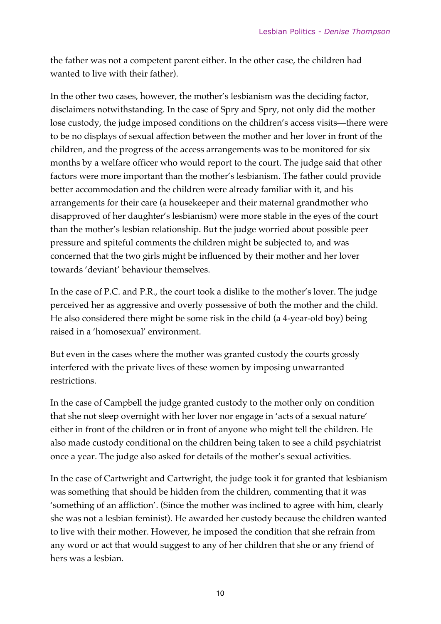the father was not a competent parent either. In the other case, the children had wanted to live with their father).

In the other two cases, however, the mother's lesbianism was the deciding factor, disclaimers notwithstanding. In the case of Spry and Spry, not only did the mother lose custody, the judge imposed conditions on the children's access visits—there were to be no displays of sexual affection between the mother and her lover in front of the children, and the progress of the access arrangements was to be monitored for six months by a welfare officer who would report to the court. The judge said that other factors were more important than the mother's lesbianism. The father could provide better accommodation and the children were already familiar with it, and his arrangements for their care (a housekeeper and their maternal grandmother who disapproved of her daughter's lesbianism) were more stable in the eyes of the court than the mother's lesbian relationship. But the judge worried about possible peer pressure and spiteful comments the children might be subjected to, and was concerned that the two girls might be influenced by their mother and her lover towards 'deviant' behaviour themselves.

In the case of P.C. and P.R., the court took a dislike to the mother's lover. The judge perceived her as aggressive and overly possessive of both the mother and the child. He also considered there might be some risk in the child (a 4-year-old boy) being raised in a 'homosexual' environment.

But even in the cases where the mother was granted custody the courts grossly interfered with the private lives of these women by imposing unwarranted restrictions.

In the case of Campbell the judge granted custody to the mother only on condition that she not sleep overnight with her lover nor engage in 'acts of a sexual nature' either in front of the children or in front of anyone who might tell the children. He also made custody conditional on the children being taken to see a child psychiatrist once a year. The judge also asked for details of the mother's sexual activities.

In the case of Cartwright and Cartwright, the judge took it for granted that lesbianism was something that should be hidden from the children, commenting that it was 'something of an affliction'. (Since the mother was inclined to agree with him, clearly she was not a lesbian feminist). He awarded her custody because the children wanted to live with their mother. However, he imposed the condition that she refrain from any word or act that would suggest to any of her children that she or any friend of hers was a lesbian.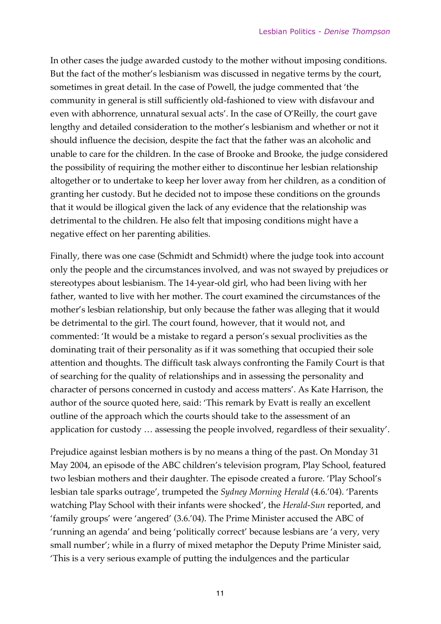In other cases the judge awarded custody to the mother without imposing conditions. But the fact of the mother's lesbianism was discussed in negative terms by the court, sometimes in great detail. In the case of Powell, the judge commented that 'the community in general is still sufficiently old-fashioned to view with disfavour and even with abhorrence, unnatural sexual acts'. In the case of O'Reilly, the court gave lengthy and detailed consideration to the mother's lesbianism and whether or not it should influence the decision, despite the fact that the father was an alcoholic and unable to care for the children. In the case of Brooke and Brooke, the judge considered the possibility of requiring the mother either to discontinue her lesbian relationship altogether or to undertake to keep her lover away from her children, as a condition of granting her custody. But he decided not to impose these conditions on the grounds that it would be illogical given the lack of any evidence that the relationship was detrimental to the children. He also felt that imposing conditions might have a negative effect on her parenting abilities.

Finally, there was one case (Schmidt and Schmidt) where the judge took into account only the people and the circumstances involved, and was not swayed by prejudices or stereotypes about lesbianism. The 14-year-old girl, who had been living with her father, wanted to live with her mother. The court examined the circumstances of the mother's lesbian relationship, but only because the father was alleging that it would be detrimental to the girl. The court found, however, that it would not, and commented: 'It would be a mistake to regard a person's sexual proclivities as the dominating trait of their personality as if it was something that occupied their sole attention and thoughts. The difficult task always confronting the Family Court is that of searching for the quality of relationships and in assessing the personality and character of persons concerned in custody and access matters'. As Kate Harrison, the author of the source quoted here, said: 'This remark by Evatt is really an excellent outline of the approach which the courts should take to the assessment of an application for custody … assessing the people involved, regardless of their sexuality'.

Prejudice against lesbian mothers is by no means a thing of the past. On Monday 31 May 2004, an episode of the ABC children's television program, Play School, featured two lesbian mothers and their daughter. The episode created a furore. 'Play School's lesbian tale sparks outrage', trumpeted the *Sydney Morning Herald* (4.6.'04). 'Parents watching Play School with their infants were shocked', the *Herald-Sun* reported, and 'family groups' were 'angered' (3.6.'04). The Prime Minister accused the ABC of 'running an agenda' and being 'politically correct' because lesbians are 'a very, very small number'; while in a flurry of mixed metaphor the Deputy Prime Minister said, 'This is a very serious example of putting the indulgences and the particular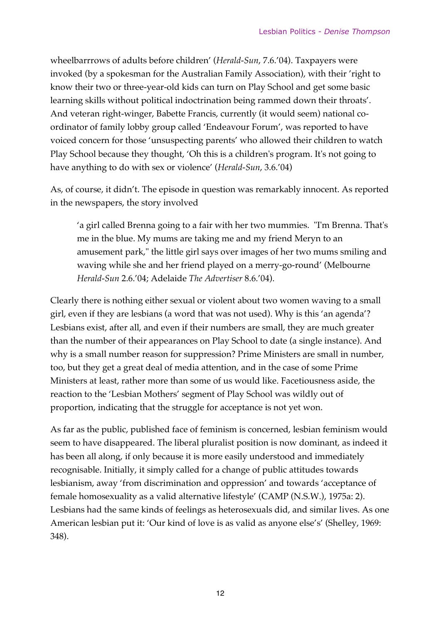wheelbarrrows of adults before children' (*Herald-Sun*, 7.6.'04). Taxpayers were invoked (by a spokesman for the Australian Family Association), with their 'right to know their two or three-year-old kids can turn on Play School and get some basic learning skills without political indoctrination being rammed down their throats'. And veteran right-winger, Babette Francis, currently (it would seem) national coordinator of family lobby group called 'Endeavour Forum', was reported to have voiced concern for those 'unsuspecting parents' who allowed their children to watch Play School because they thought, 'Oh this is a children's program. It's not going to have anything to do with sex or violence' (*Herald-Sun*, 3.6.'04)

As, of course, it didn't. The episode in question was remarkably innocent. As reported in the newspapers, the story involved

'a girl called Brenna going to a fair with her two mummies. "I'm Brenna. That's me in the blue. My mums are taking me and my friend Meryn to an amusement park," the little girl says over images of her two mums smiling and waving while she and her friend played on a merry-go-round' (Melbourne *Herald-Sun* 2.6.'04; Adelaide *The Advertiser* 8.6.'04).

Clearly there is nothing either sexual or violent about two women waving to a small girl, even if they are lesbians (a word that was not used). Why is this 'an agenda'? Lesbians exist, after all, and even if their numbers are small, they are much greater than the number of their appearances on Play School to date (a single instance). And why is a small number reason for suppression? Prime Ministers are small in number, too, but they get a great deal of media attention, and in the case of some Prime Ministers at least, rather more than some of us would like. Facetiousness aside, the reaction to the 'Lesbian Mothers' segment of Play School was wildly out of proportion, indicating that the struggle for acceptance is not yet won.

As far as the public, published face of feminism is concerned, lesbian feminism would seem to have disappeared. The liberal pluralist position is now dominant, as indeed it has been all along, if only because it is more easily understood and immediately recognisable. Initially, it simply called for a change of public attitudes towards lesbianism, away 'from discrimination and oppression' and towards 'acceptance of female homosexuality as a valid alternative lifestyle' (CAMP (N.S.W.), 1975a: 2). Lesbians had the same kinds of feelings as heterosexuals did, and similar lives. As one American lesbian put it: 'Our kind of love is as valid as anyone else's' (Shelley, 1969: 348).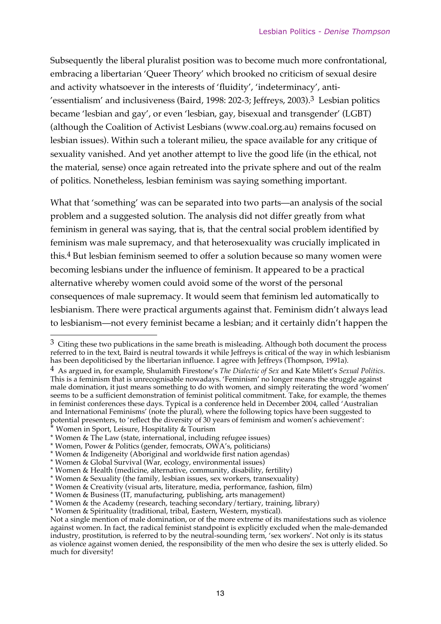Subsequently the liberal pluralist position was to become much more confrontational, embracing a libertarian 'Queer Theory' which brooked no criticism of sexual desire and activity whatsoever in the interests of 'fluidity', 'indeterminacy', anti- 'essentialism' and inclusiveness (Baird, 1998: 202-3; Jeffreys, 2003).3 Lesbian politics became 'lesbian and gay', or even 'lesbian, gay, bisexual and transgender' (LGBT) (although the Coalition of Activist Lesbians (www.coal.org.au) remains focused on lesbian issues). Within such a tolerant milieu, the space available for any critique of sexuality vanished. And yet another attempt to live the good life (in the ethical, not the material, sense) once again retreated into the private sphere and out of the realm of politics. Nonetheless, lesbian feminism was saying something important.

What that 'something' was can be separated into two parts—an analysis of the social problem and a suggested solution. The analysis did not differ greatly from what feminism in general was saying, that is, that the central social problem identified by feminism was male supremacy, and that heterosexuality was crucially implicated in this.4 But lesbian feminism seemed to offer a solution because so many women were becoming lesbians under the influence of feminism. It appeared to be a practical alternative whereby women could avoid some of the worst of the personal consequences of male supremacy. It would seem that feminism led automatically to lesbianism. There were practical arguments against that. Feminism didn't always lead to lesbianism—not every feminist became a lesbian; and it certainly didn't happen the

 $\overline{a}$ 

 $3$  Citing these two publications in the same breath is misleading. Although both document the process referred to in the text, Baird is neutral towards it while Jeffreys is critical of the way in which lesbianism has been depoliticised by the libertarian influence. I agree with Jeffreys (Thompson, 1991a).

<sup>4</sup> As argued in, for example, Shulamith Firestone's *The Dialectic of Sex* and Kate Milett's *Sexual Politics*. This is a feminism that is unrecognisable nowadays. 'Feminism' no longer means the struggle against male domination, it just means something to do with women, and simply reiterating the word 'women' seems to be a sufficient demonstration of feminist political commitment. Take, for example, the themes in feminist conferences these days. Typical is a conference held in December 2004, called 'Australian and International Feminisms' (note the plural), where the following topics have been suggested to potential presenters, to 'reflect the diversity of 30 years of feminism and women's achievement':

<sup>\*</sup> Women in Sport, Leisure, Hospitality & Tourism

<sup>\*</sup> Women & The Law (state, international, including refugee issues)

<sup>\*</sup> Women, Power & Politics (gender, femocrats, OWA's, politicians)

<sup>\*</sup> Women & Indigeneity (Aboriginal and worldwide first nation agendas)

<sup>\*</sup> Women & Global Survival (War, ecology, environmental issues)

<sup>\*</sup> Women & Health (medicine, alternative, community, disability, fertility)

<sup>\*</sup> Women & Sexuality (the family, lesbian issues, sex workers, transexuality)

<sup>\*</sup> Women & Creativity (visual arts, literature, media, performance, fashion, film)

<sup>\*</sup> Women & Business (IT, manufacturing, publishing, arts management)

<sup>\*</sup> Women & the Academy (research, teaching secondary/tertiary, training, library)

<sup>\*</sup> Women & Spirituality (traditional, tribal, Eastern, Western, mystical).

Not a single mention of male domination, or of the more extreme of its manifestations such as violence against women. In fact, the radical feminist standpoint is explicitly excluded when the male-demanded industry, prostitution, is referred to by the neutral-sounding term, 'sex workers'. Not only is its status as violence against women denied, the responsibility of the men who desire the sex is utterly elided. So much for diversity!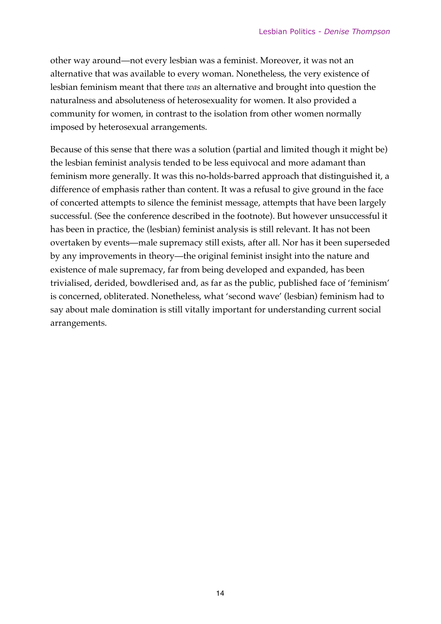other way around—not every lesbian was a feminist. Moreover, it was not an alternative that was available to every woman. Nonetheless, the very existence of lesbian feminism meant that there *was* an alternative and brought into question the naturalness and absoluteness of heterosexuality for women. It also provided a community for women, in contrast to the isolation from other women normally imposed by heterosexual arrangements.

Because of this sense that there was a solution (partial and limited though it might be) the lesbian feminist analysis tended to be less equivocal and more adamant than feminism more generally. It was this no-holds-barred approach that distinguished it, a difference of emphasis rather than content. It was a refusal to give ground in the face of concerted attempts to silence the feminist message, attempts that have been largely successful. (See the conference described in the footnote). But however unsuccessful it has been in practice, the (lesbian) feminist analysis is still relevant. It has not been overtaken by events—male supremacy still exists, after all. Nor has it been superseded by any improvements in theory—the original feminist insight into the nature and existence of male supremacy, far from being developed and expanded, has been trivialised, derided, bowdlerised and, as far as the public, published face of 'feminism' is concerned, obliterated. Nonetheless, what 'second wave' (lesbian) feminism had to say about male domination is still vitally important for understanding current social arrangements.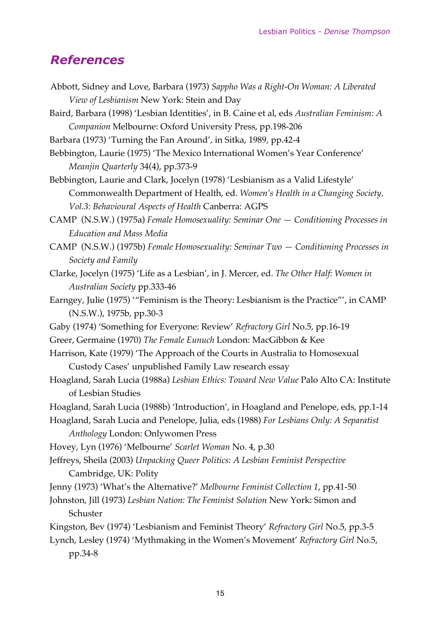## *References*

Abbott, Sidney and Love, Barbara (1973) *Sappho Was a Right-On Woman: A Liberated View of Lesbianism* New York: Stein and Day Baird, Barbara (1998) 'Lesbian Identities', in B. Caine et al, eds *Australian Feminism: A Companion* Melbourne: Oxford University Press, pp.198-206 Barbara (1973) 'Turning the Fan Around', in Sitka, 1989, pp.42-4 Bebbington, Laurie (1975) 'The Mexico International Women's Year Conference' *Meanjin Quarterly* 34(4), pp.373-9 Bebbington, Laurie and Clark, Jocelyn (1978) 'Lesbianism as a Valid Lifestyle' Commonwealth Department of Health, ed. *Women's Health in a Changing Society, Vol.3: Behavioural Aspects of Health* Canberra: AGPS CAMP (N.S.W.) (1975a) *Female Homosexuality: Seminar One — Conditioning Processes in Education and Mass Media* CAMP (N.S.W.) (1975b) *Female Homosexuality: Seminar Two — Conditioning Processes in Society and Family* Clarke, Jocelyn (1975) 'Life as a Lesbian', in J. Mercer, ed. *The Other Half: Women in Australian Society* pp.333-46 Earngey, Julie (1975) '"Feminism is the Theory: Lesbianism is the Practice"', in CAMP (N.S.W.), 1975b, pp.30-3 Gaby (1974) 'Something for Everyone: Review' *Refractory Girl* No.5, pp.16-19 Greer, Germaine (1970) *The Female Eunuch* London: MacGibbon & Kee Harrison, Kate (1979) 'The Approach of the Courts in Australia to Homosexual Custody Cases' unpublished Family Law research essay Hoagland, Sarah Lucia (1988a) *Lesbian Ethics: Toward New Value* Palo Alto CA: Institute of Lesbian Studies Hoagland, Sarah Lucia (1988b) 'Introduction', in Hoagland and Penelope, eds, pp.1-14 Hoagland, Sarah Lucia and Penelope, Julia, eds (1988) *For Lesbians Only: A Separatist Anthology* London: Onlywomen Press Hovey, Lyn (1976) 'Melbourne' *Scarlet Woman* No. 4, p.30 Jeffreys, Sheila (2003) *Unpacking Queer Politics: A Lesbian Feminist Perspective* Cambridge, UK: Polity Jenny (1973) 'What's the Alternative?' *Melbourne Feminist Collection 1*, pp.41-50 Johnston, Jill (1973) *Lesbian Nation: The Feminist Solution* New York: Simon and Schuster Kingston, Bev (1974) 'Lesbianism and Feminist Theory' *Refractory Girl* No.5, pp.3-5 Lynch, Lesley (1974) 'Mythmaking in the Women's Movement' *Refractory Girl* No.5, pp.34-8